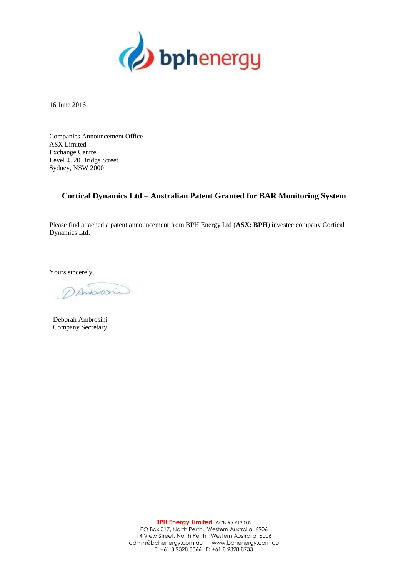

16 June 2016

Companies Announcement Office ASX Limited Exchange Centre Level 4, 20 Bridge Street Sydney, NSW 2000

## **Cortical Dynamics Ltd – Australian Patent Granted for BAR Monitoring System**

Please find attached a patent announcement from BPH Energy Ltd (**ASX: BPH**) investee company Cortical Dynamics Ltd.

Yours sincerely,

DANSONIO

Deborah Ambrosini Company Secretary

**BPH Energy Limited** ACN 95 912 002 PO Box 317, North Perth, Western Australia 6906 14 View Street, North Perth, Western Australia 6006 admin@bphenergy.com.au www.bphenergy.com.au T: +61 8 9328 8366 F: +61 8 9328 8733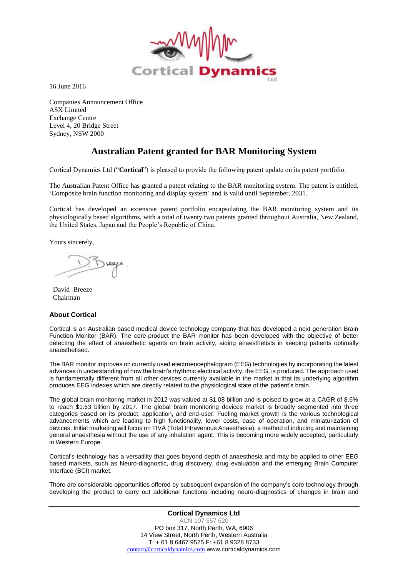

16 June 2016

Companies Announcement Office ASX Limited Exchange Centre Level 4, 20 Bridge Street Sydney, NSW 2000

## **Australian Patent granted for BAR Monitoring System**

Cortical Dynamics Ltd ("**Cortical**") is pleased to provide the following patent update on its patent portfolio.

The Australian Patent Office has granted a patent relating to the BAR monitoring system. The patent is entitled, 'Composite brain function monitoring and display system' and is valid until September, 2031.

Cortical has developed an extensive patent portfolio encapsulating the BAR monitoring system and its physiologically based algorithms, with a total of twenty two patents granted throughout Australia, New Zealand, the United States, Japan and the People's Republic of China.

Yours sincerely,

David Breeze Chairman

## **About Cortical**

Cortical is an Australian based medical device technology company that has developed a next generation Brain Function Monitor (BAR). The core-product the BAR monitor has been developed with the objective of better detecting the effect of anaesthetic agents on brain activity, aiding anaesthetists in keeping patients optimally anaesthetised.

The BAR monitor improves on currently used electroencephalogram (EEG) technologies by incorporating the latest advances in understanding of how the brain's rhythmic electrical activity, the EEG, is produced. The approach used is fundamentally different from all other devices currently available in the market in that its underlying algorithm produces EEG indexes which are directly related to the physiological state of the patient's brain.

The global brain monitoring market in 2012 was valued at \$1.08 billion and is poised to grow at a CAGR of 8.6% to reach \$1.63 billion by 2017. The global brain monitoring devices market is broadly segmented into three categories based on its product, application, and end-user. Fueling market growth is the various technological advancements which are leading to high functionality, lower costs, ease of operation, and miniaturization of devices. Initial marketing will focus on TIVA (Total Intravenous Anaesthesia), a method of inducing and maintaining general anaesthesia without the use of any inhalation agent. This is becoming more widely accepted, particularly in Western Europe.

Cortical's technology has a versatility that goes beyond depth of anaesthesia and may be applied to other EEG based markets, such as Neuro-diagnostic, drug discovery, drug evaluation and the emerging Brain Computer Interface (BCI) market.

There are considerable opportunities offered by subsequent expansion of the company's core technology through developing the product to carry out additional functions including neuro-diagnostics of changes in brain and